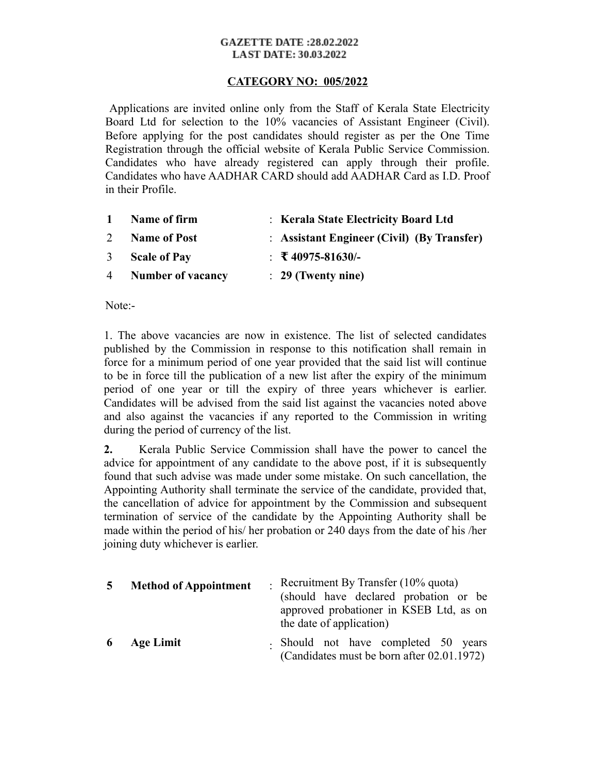#### **GAZETTE DATE:28.02.2022 LAST DATE: 30.03.2022**

### **CATEGORY NO: 005/2022**

 Applications are invited online only from the Staff of Kerala State Electricity Board Ltd for selection to the 10% vacancies of Assistant Engineer (Civil). Before applying for the post candidates should register as per the One Time Registration through the official website of Kerala Public Service Commission. Candidates who have already registered can apply through their profile. Candidates who have AADHAR CARD should add AADHAR Card as I.D. Proof in their Profile.

| $\mathbf{1}$   | Name of firm        | : Kerala State Electricity Board Ltd       |
|----------------|---------------------|--------------------------------------------|
| 2              | <b>Name of Post</b> | : Assistant Engineer (Civil) (By Transfer) |
| 3 <sup>7</sup> | <b>Scale of Pay</b> | $\div$ \test{\sigma_{40975-81630/-}}       |
|                | 4 Number of vacancy | $\therefore$ 29 (Twenty nine)              |

Note:-

1. The above vacancies are now in existence. The list of selected candidates published by the Commission in response to this notification shall remain in force for a minimum period of one year provided that the said list will continue to be in force till the publication of a new list after the expiry of the minimum period of one year or till the expiry of three years whichever is earlier. Candidates will be advised from the said list against the vacancies noted above and also against the vacancies if any reported to the Commission in writing during the period of currency of the list.

**2.** Kerala Public Service Commission shall have the power to cancel the advice for appointment of any candidate to the above post, if it is subsequently found that such advise was made under some mistake. On such cancellation, the Appointing Authority shall terminate the service of the candidate, provided that, the cancellation of advice for appointment by the Commission and subsequent termination of service of the candidate by the Appointing Authority shall be made within the period of his/ her probation or 240 days from the date of his /her joining duty whichever is earlier.

| $5^{\circ}$ | <b>Method of Appointment</b> | - Recruitment By Transfer $(10\%$ quota)<br>(should have declared probation or be)<br>approved probationer in KSEB Ltd, as on<br>the date of application) |
|-------------|------------------------------|-----------------------------------------------------------------------------------------------------------------------------------------------------------|
|             | 6 Age Limit                  | - Should not have completed 50 years<br>(Candidates must be born after 02.01.1972)                                                                        |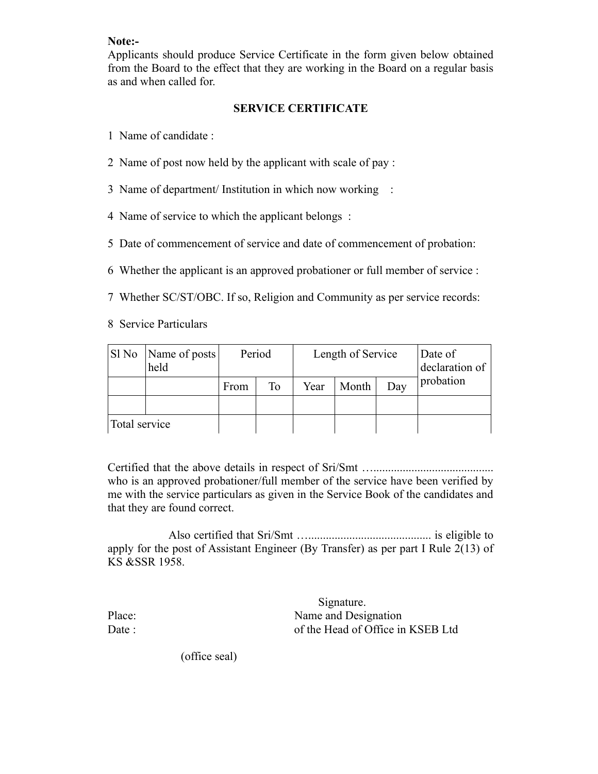### **Note:-**

Applicants should produce Service Certificate in the form given below obtained from the Board to the effect that they are working in the Board on a regular basis as and when called for.

# **SERVICE CERTIFICATE**

- 1 Name of candidate :
- 2 Name of post now held by the applicant with scale of pay :
- 3 Name of department/ Institution in which now working :
- 4 Name of service to which the applicant belongs :
- 5 Date of commencement of service and date of commencement of probation:
- 6 Whether the applicant is an approved probationer or full member of service :
- 7 Whether SC/ST/OBC. If so, Religion and Community as per service records:

8 Service Particulars

|               | SI No   Name of posts  <br>held | Period |    | Length of Service |       |     | Date of<br>declaration of |
|---------------|---------------------------------|--------|----|-------------------|-------|-----|---------------------------|
|               |                                 | From   | To | Year              | Month | Day | probation                 |
|               |                                 |        |    |                   |       |     |                           |
| Total service |                                 |        |    |                   |       |     |                           |

Certified that the above details in respect of Sri/Smt …......................................... who is an approved probationer/full member of the service have been verified by me with the service particulars as given in the Service Book of the candidates and that they are found correct.

 Also certified that Sri/Smt ….......................................... is eligible to apply for the post of Assistant Engineer (By Transfer) as per part I Rule 2(13) of KS &SSR 1958.

 Signature. Place: Name and Designation Date : of the Head of Office in KSEB Ltd

(office seal)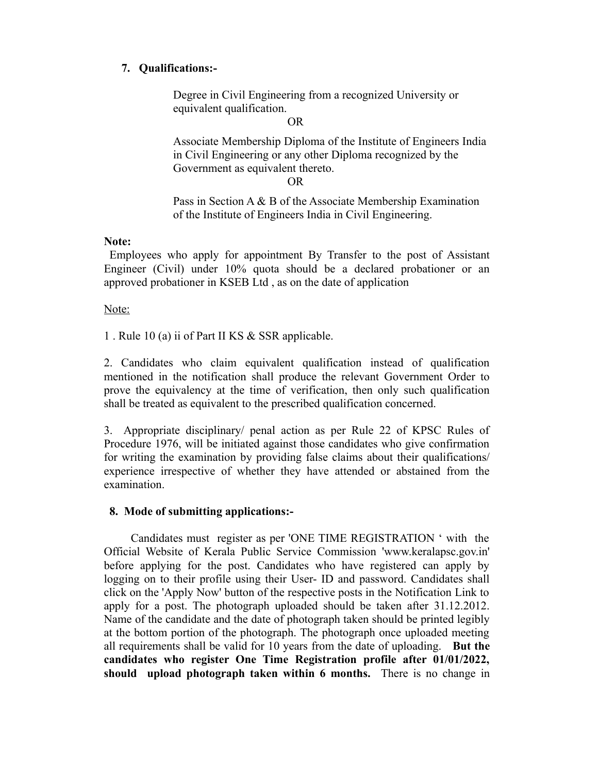# **7. Qualifications:-**

Degree in Civil Engineering from a recognized University or equivalent qualification.

OR

Associate Membership Diploma of the Institute of Engineers India in Civil Engineering or any other Diploma recognized by the Government as equivalent thereto.

OR

Pass in Section A & B of the Associate Membership Examination of the Institute of Engineers India in Civil Engineering.

### **Note:**

 Employees who apply for appointment By Transfer to the post of Assistant Engineer (Civil) under 10% quota should be a declared probationer or an approved probationer in KSEB Ltd , as on the date of application

Note:

1 . Rule 10 (a) ii of Part II KS & SSR applicable.

2. Candidates who claim equivalent qualification instead of qualification mentioned in the notification shall produce the relevant Government Order to prove the equivalency at the time of verification, then only such qualification shall be treated as equivalent to the prescribed qualification concerned.

3. Appropriate disciplinary/ penal action as per Rule 22 of KPSC Rules of Procedure 1976, will be initiated against those candidates who give confirmation for writing the examination by providing false claims about their qualifications/ experience irrespective of whether they have attended or abstained from the examination.

### **8. Mode of submitting applications:-**

 Candidates must register as per 'ONE TIME REGISTRATION ' with the Official Website of Kerala Public Service Commission 'www.keralapsc.gov.in' before applying for the post. Candidates who have registered can apply by logging on to their profile using their User- ID and password. Candidates shall click on the 'Apply Now' button of the respective posts in the Notification Link to apply for a post. The photograph uploaded should be taken after 31.12.2012. Name of the candidate and the date of photograph taken should be printed legibly at the bottom portion of the photograph. The photograph once uploaded meeting all requirements shall be valid for 10 years from the date of uploading. **But the candidates who register One Time Registration profile after 01/01/2022, should upload photograph taken within 6 months.** There is no change in